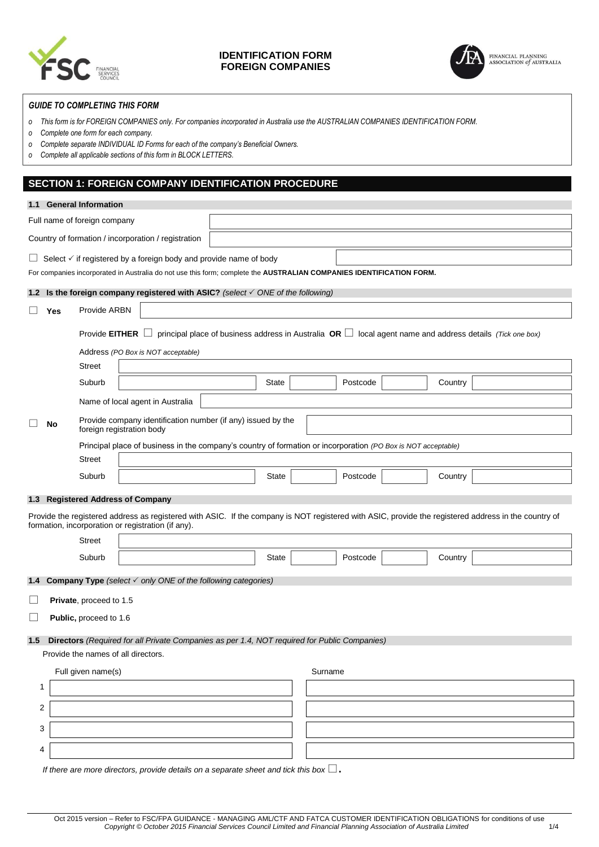

# **IDENTIFICATION FORM FOREIGN COMPANIES**



FINANCIAL PLANNING<br>ASSOCIATION of AUSTRALIA

# *GUIDE TO COMPLETING THIS FORM*

- *o This form is for FOREIGN COMPANIES only. For companies incorporated in Australia use the AUSTRALIAN COMPANIES IDENTIFICATION FORM.*
- *o Complete one form for each company.*
- *o Complete separate INDIVIDUAL ID Forms for each of the company's Beneficial Owners.*
- *o Complete all applicable sections of this form in BLOCK LETTERS.*

# **SECTION 1: FOREIGN COMPANY IDENTIFICATION PROCEDURE**

|          |                                                                                                                      | 1.1 General Information             |  |                                                                                                               |  |              |  |          |         |                                                                                                                                                      |
|----------|----------------------------------------------------------------------------------------------------------------------|-------------------------------------|--|---------------------------------------------------------------------------------------------------------------|--|--------------|--|----------|---------|------------------------------------------------------------------------------------------------------------------------------------------------------|
|          |                                                                                                                      | Full name of foreign company        |  |                                                                                                               |  |              |  |          |         |                                                                                                                                                      |
|          | Country of formation / incorporation / registration                                                                  |                                     |  |                                                                                                               |  |              |  |          |         |                                                                                                                                                      |
|          | $\Box$ Select $\checkmark$ if registered by a foreign body and provide name of body                                  |                                     |  |                                                                                                               |  |              |  |          |         |                                                                                                                                                      |
|          | For companies incorporated in Australia do not use this form; complete the AUSTRALIAN COMPANIES IDENTIFICATION FORM. |                                     |  |                                                                                                               |  |              |  |          |         |                                                                                                                                                      |
|          |                                                                                                                      |                                     |  | 1.2 Is the foreign company registered with ASIC? (select $\checkmark$ ONE of the following)                   |  |              |  |          |         |                                                                                                                                                      |
| $\Box$   | Yes                                                                                                                  | Provide ARBN                        |  |                                                                                                               |  |              |  |          |         |                                                                                                                                                      |
|          |                                                                                                                      | Provide $E$ ITHER $\Box$            |  |                                                                                                               |  |              |  |          |         | principal place of business address in Australia OR $\Box$ local agent name and address details (Tick one box)                                       |
|          |                                                                                                                      |                                     |  | Address (PO Box is NOT acceptable)                                                                            |  |              |  |          |         |                                                                                                                                                      |
|          |                                                                                                                      | Street                              |  |                                                                                                               |  |              |  |          |         |                                                                                                                                                      |
|          |                                                                                                                      | Suburb                              |  |                                                                                                               |  | State        |  | Postcode | Country |                                                                                                                                                      |
|          |                                                                                                                      |                                     |  | Name of local agent in Australia                                                                              |  |              |  |          |         |                                                                                                                                                      |
|          | No                                                                                                                   | foreign registration body           |  | Provide company identification number (if any) issued by the                                                  |  |              |  |          |         |                                                                                                                                                      |
|          |                                                                                                                      |                                     |  | Principal place of business in the company's country of formation or incorporation (PO Box is NOT acceptable) |  |              |  |          |         |                                                                                                                                                      |
|          |                                                                                                                      | <b>Street</b>                       |  |                                                                                                               |  |              |  |          |         |                                                                                                                                                      |
|          |                                                                                                                      | Suburb                              |  |                                                                                                               |  | <b>State</b> |  | Postcode | Country |                                                                                                                                                      |
|          |                                                                                                                      | 1.3 Registered Address of Company   |  |                                                                                                               |  |              |  |          |         |                                                                                                                                                      |
|          |                                                                                                                      |                                     |  | formation, incorporation or registration (if any).                                                            |  |              |  |          |         | Provide the registered address as registered with ASIC. If the company is NOT registered with ASIC, provide the registered address in the country of |
|          |                                                                                                                      | <b>Street</b>                       |  |                                                                                                               |  |              |  |          |         |                                                                                                                                                      |
|          |                                                                                                                      | Suburb                              |  |                                                                                                               |  | <b>State</b> |  | Postcode | Country |                                                                                                                                                      |
|          |                                                                                                                      |                                     |  | <b>1.4 Company Type</b> (select $\checkmark$ only ONE of the following categories)                            |  |              |  |          |         |                                                                                                                                                      |
| $\sqcup$ |                                                                                                                      | Private, proceed to 1.5             |  |                                                                                                               |  |              |  |          |         |                                                                                                                                                      |
| $\Box$   |                                                                                                                      | Public, proceed to 1.6              |  |                                                                                                               |  |              |  |          |         |                                                                                                                                                      |
| $1.5\,$  | Directors (Required for all Private Companies as per 1.4, NOT required for Public Companies)                         |                                     |  |                                                                                                               |  |              |  |          |         |                                                                                                                                                      |
|          |                                                                                                                      | Provide the names of all directors. |  |                                                                                                               |  |              |  |          |         |                                                                                                                                                      |
|          | Full given name(s)<br>Surname                                                                                        |                                     |  |                                                                                                               |  |              |  |          |         |                                                                                                                                                      |
| 1        |                                                                                                                      |                                     |  |                                                                                                               |  |              |  |          |         |                                                                                                                                                      |
| 2        |                                                                                                                      |                                     |  |                                                                                                               |  |              |  |          |         |                                                                                                                                                      |
| 3        |                                                                                                                      |                                     |  |                                                                                                               |  |              |  |          |         |                                                                                                                                                      |
| 4        |                                                                                                                      |                                     |  |                                                                                                               |  |              |  |          |         |                                                                                                                                                      |
|          |                                                                                                                      |                                     |  |                                                                                                               |  |              |  |          |         |                                                                                                                                                      |

*If there are more directors, provide details on a separate sheet and tick this box*  $\square$ .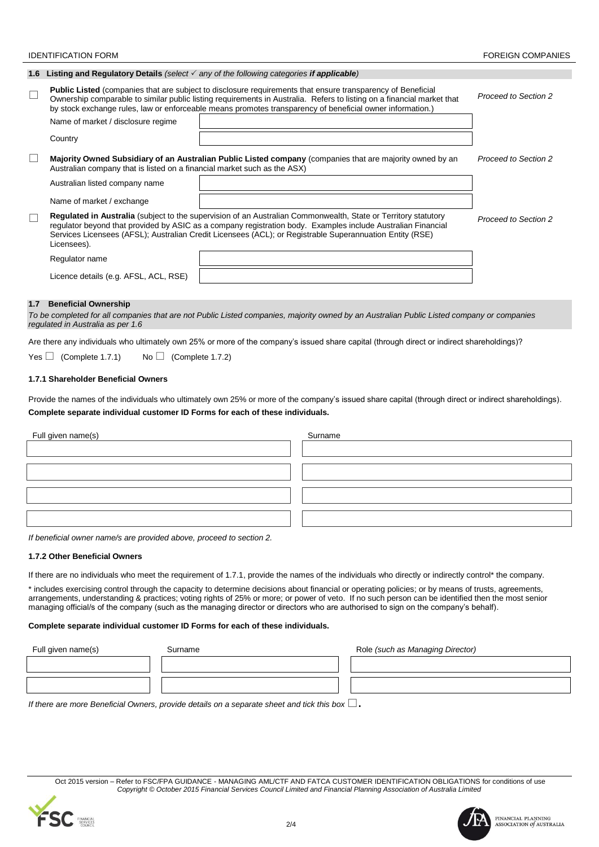### **IDENTIFICATION FORM FORM FORM FOREIGN COMPANIES**

|        |                                                                          | 1.6 Listing and Regulatory Details (select $\checkmark$ any of the following categories if applicable)                                                                                                                                                                                                                                                    |                             |
|--------|--------------------------------------------------------------------------|-----------------------------------------------------------------------------------------------------------------------------------------------------------------------------------------------------------------------------------------------------------------------------------------------------------------------------------------------------------|-----------------------------|
| $\Box$ | Name of market / disclosure regime                                       | <b>Public Listed</b> (companies that are subject to disclosure requirements that ensure transparency of Beneficial<br>Ownership comparable to similar public listing requirements in Australia. Refers to listing on a financial market that<br>by stock exchange rules, law or enforceable means promotes transparency of beneficial owner information.) | Proceed to Section 2        |
|        | Country                                                                  |                                                                                                                                                                                                                                                                                                                                                           |                             |
| $\Box$ | Australian company that is listed on a financial market such as the ASX) | Majority Owned Subsidiary of an Australian Public Listed company (companies that are majority owned by an                                                                                                                                                                                                                                                 | <b>Proceed to Section 2</b> |
|        | Australian listed company name                                           |                                                                                                                                                                                                                                                                                                                                                           |                             |
|        | Name of market / exchange                                                |                                                                                                                                                                                                                                                                                                                                                           |                             |
| $\Box$ | Licensees).                                                              | Regulated in Australia (subject to the supervision of an Australian Commonwealth, State or Territory statutory<br>regulator beyond that provided by ASIC as a company registration body. Examples include Australian Financial<br>Services Licensees (AFSL); Australian Credit Licensees (ACL); or Registrable Superannuation Entity (RSE)                | Proceed to Section 2        |
|        | Regulator name                                                           |                                                                                                                                                                                                                                                                                                                                                           |                             |
|        | Licence details (e.g. AFSL, ACL, RSE)                                    |                                                                                                                                                                                                                                                                                                                                                           |                             |
| 1.7    | <b>Beneficial Ownership</b>                                              |                                                                                                                                                                                                                                                                                                                                                           |                             |

*To be completed for all companies that are not Public Listed companies, majority owned by an Australian Public Listed company or companies regulated in Australia as per 1.6*

Are there any individuals who ultimately own 25% or more of the company's issued share capital (through direct or indirect shareholdings)?

Yes  $\Box$  (Complete 1.7.1) No  $\Box$  (Complete 1.7.2)

# **1.7.1 Shareholder Beneficial Owners**

Provide the names of the individuals who ultimately own 25% or more of the company's issued share capital (through direct or indirect shareholdings). **Complete separate individual customer ID Forms for each of these individuals.**

| Full given name(s) | Surname |
|--------------------|---------|
|                    |         |
|                    |         |
|                    |         |
|                    |         |
|                    |         |
|                    |         |
|                    |         |

*If beneficial owner name/s are provided above, proceed to section 2.*

# **1.7.2 Other Beneficial Owners**

If there are no individuals who meet the requirement of 1.7.1, provide the names of the individuals who directly or indirectly control\* the company.

\* includes exercising control through the capacity to determine decisions about financial or operating policies; or by means of trusts, agreements, arrangements, understanding & practices; voting rights of 25% or more; or power of veto. If no such person can be identified then the most senior managing official/s of the company (such as the managing director or directors who are authorised to sign on the company's behalf).

#### **Complete separate individual customer ID Forms for each of these individuals.**

| Full given name(s)               | Surname                                                                                                                                                                                                                           | Role (such as Managing Director) |
|----------------------------------|-----------------------------------------------------------------------------------------------------------------------------------------------------------------------------------------------------------------------------------|----------------------------------|
|                                  |                                                                                                                                                                                                                                   |                                  |
|                                  |                                                                                                                                                                                                                                   |                                  |
| $\cdots$<br>$\sim$ $\sim$ $\sim$ | $\mathbf{r}$ , and the contract of the contract of the contract of the contract of the contract of the contract of the contract of the contract of the contract of the contract of the contract of the contract of the contract o |                                  |

*If there are more Beneficial Owners, provide details on a separate sheet and tick this box*  $\Box$ .

Oct 2015 version – Refer to FSC/FPA GUIDANCE - MANAGING AML/CTF AND FATCA CUSTOMER IDENTIFICATION OBLIGATIONS for conditions of use *Copyright © October 2015 Financial Services Council Limited and Financial Planning Association of Australia Limited*

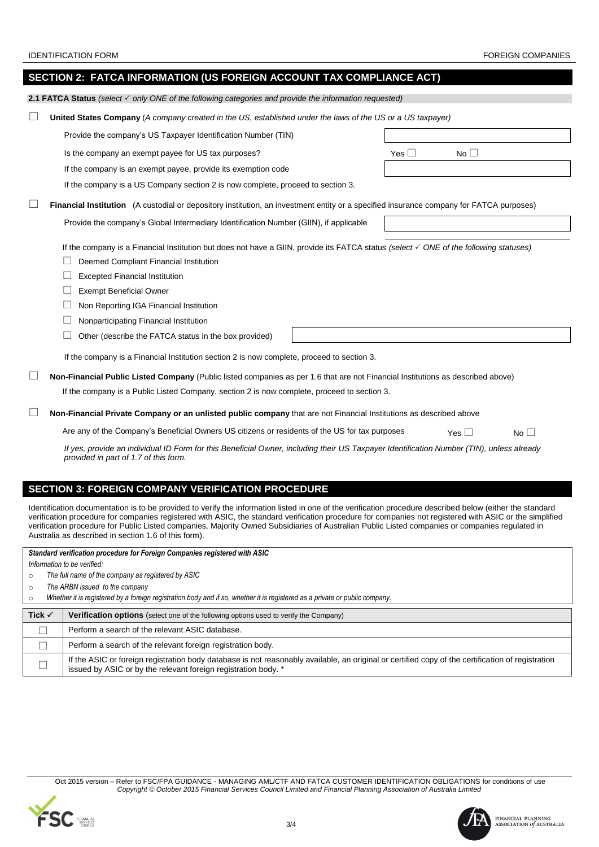| SECTION 2: FATCA INFORMATION (US FOREIGN ACCOUNT TAX COMPLIANCE ACT)                                                                                                                                                                                                                                                                                                                                                                                                                                                            |  |  |  |  |  |
|---------------------------------------------------------------------------------------------------------------------------------------------------------------------------------------------------------------------------------------------------------------------------------------------------------------------------------------------------------------------------------------------------------------------------------------------------------------------------------------------------------------------------------|--|--|--|--|--|
| <b>2.1 FATCA Status</b> (select $\checkmark$ only ONE of the following categories and provide the information requested)                                                                                                                                                                                                                                                                                                                                                                                                        |  |  |  |  |  |
| <b>United States Company</b> (A company created in the US, established under the laws of the US or a US taxpayer)                                                                                                                                                                                                                                                                                                                                                                                                               |  |  |  |  |  |
| Provide the company's US Taxpayer Identification Number (TIN)                                                                                                                                                                                                                                                                                                                                                                                                                                                                   |  |  |  |  |  |
| Is the company an exempt payee for US tax purposes?<br>$No \Box$<br>Yes $\mathrel{\sqcup}$                                                                                                                                                                                                                                                                                                                                                                                                                                      |  |  |  |  |  |
| If the company is an exempt payee, provide its exemption code                                                                                                                                                                                                                                                                                                                                                                                                                                                                   |  |  |  |  |  |
| If the company is a US Company section 2 is now complete, proceed to section 3.                                                                                                                                                                                                                                                                                                                                                                                                                                                 |  |  |  |  |  |
| <b>Financial Institution</b> (A custodial or depository institution, an investment entity or a specified insurance company for FATCA purposes)                                                                                                                                                                                                                                                                                                                                                                                  |  |  |  |  |  |
| Provide the company's Global Intermediary Identification Number (GIIN), if applicable                                                                                                                                                                                                                                                                                                                                                                                                                                           |  |  |  |  |  |
| If the company is a Financial Institution but does not have a GIIN, provide its FATCA status (select $\checkmark$ ONE of the following statuses)<br>Deemed Compliant Financial Institution<br><b>Excepted Financial Institution</b><br><b>Exempt Beneficial Owner</b><br>ш<br>Non Reporting IGA Financial Institution<br>Nonparticipating Financial Institution<br>Other (describe the FATCA status in the box provided)<br>If the company is a Financial Institution section 2 is now complete, proceed to section 3.          |  |  |  |  |  |
| Non-Financial Public Listed Company (Public listed companies as per 1.6 that are not Financial Institutions as described above)<br>If the company is a Public Listed Company, section 2 is now complete, proceed to section 3.                                                                                                                                                                                                                                                                                                  |  |  |  |  |  |
| Non-Financial Private Company or an unlisted public company that are not Financial Institutions as described above                                                                                                                                                                                                                                                                                                                                                                                                              |  |  |  |  |  |
| Are any of the Company's Beneficial Owners US citizens or residents of the US for tax purposes<br>Yes $\Box$<br>No $\square$                                                                                                                                                                                                                                                                                                                                                                                                    |  |  |  |  |  |
| If yes, provide an individual ID Form for this Beneficial Owner, including their US Taxpayer Identification Number (TIN), unless already<br>provided in part of 1.7 of this form.                                                                                                                                                                                                                                                                                                                                               |  |  |  |  |  |
| <b>SECTION 3: FOREIGN COMPANY VERIFICATION PROCEDURE</b>                                                                                                                                                                                                                                                                                                                                                                                                                                                                        |  |  |  |  |  |
| Identification documentation is to be provided to verify the information listed in one of the verification procedure described below (either the standard<br>verification procedure for companies registered with ASIC, the standard verification procedure for companies not registered with ASIC or the simplified<br>verification procedure for Public Listed companies, Majority Owned Subsidiaries of Australian Public Listed companies or companies regulated in<br>Australia as described in section 1.6 of this form). |  |  |  |  |  |

# *Standard verification procedure for Foreign Companies registered with ASIC*

*Information to be verified:*

o *The full name of the company as registered by ASIC* 

o *The ARBN issued to the company*

|  |  |  |  | Whether it is registered by a foreign registration body and if so, whether it is registered as a private or public company. |
|--|--|--|--|-----------------------------------------------------------------------------------------------------------------------------|
|--|--|--|--|-----------------------------------------------------------------------------------------------------------------------------|

| Tick $\checkmark$ | <b>Verification options</b> (select one of the following options used to verify the Company)                                                                                                                        |
|-------------------|---------------------------------------------------------------------------------------------------------------------------------------------------------------------------------------------------------------------|
|                   | Perform a search of the relevant ASIC database.                                                                                                                                                                     |
|                   | Perform a search of the relevant foreign registration body.                                                                                                                                                         |
| ш                 | If the ASIC or foreign registration body database is not reasonably available, an original or certified copy of the certification of registration<br>issued by ASIC or by the relevant foreign registration body. * |

Oct 2015 version – Refer to FSC/FPA GUIDANCE - MANAGING AML/CTF AND FATCA CUSTOMER IDENTIFICATION OBLIGATIONS for conditions of use<br>Copyright © October 2015 Financial Services Council Limited and Financial Planning Associa





FINANCIAL PLANNING ASSOCIATION  $\mathit{of}$  australia